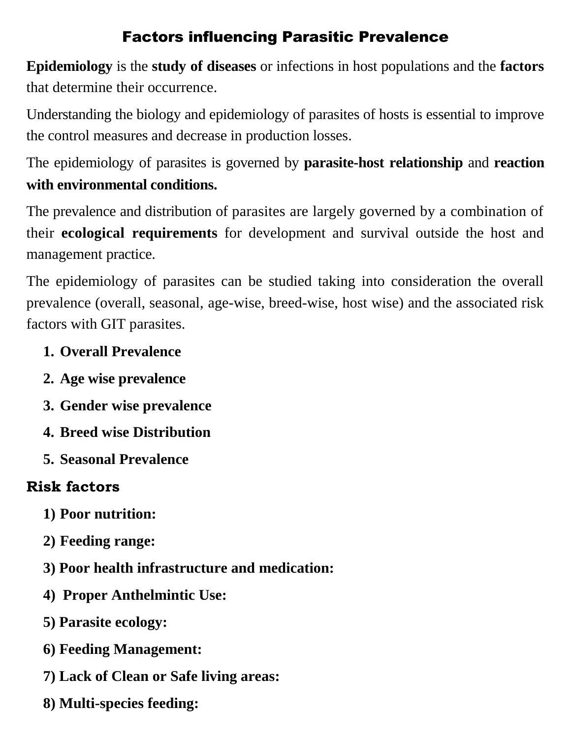## Factors influencing Parasitic Prevalence

**Epidemiology** is the **study of diseases** or infections in host populations and the **factors** that determine their occurrence.

Understanding the biology and epidemiology of parasites of hosts is essential to improve the control measures and decrease in production losses.

The epidemiology of parasites is governed by **parasite-host relationship** and **reaction with environmental conditions.**

The prevalence and distribution of parasites are largely governed by a combination of their **ecological requirements** for development and survival outside the host and management practice.

The epidemiology of parasites can be studied taking into consideration the overall prevalence (overall, seasonal, age-wise, breed-wise, host wise) and the associated risk factors with GIT parasites.

## **1. Overall Prevalence**

- **2. Age wise prevalence**
- **3. Gender wise prevalence**
- **4. Breed wise Distribution**
- **5. Seasonal Prevalence**

## **Risk factors**

- **1) Poor nutrition:**
- **2) Feeding range:**
- **3) Poor health infrastructure and medication:**
- **4) Proper Anthelmintic Use:**
- **5) Parasite ecology:**
- **6) Feeding Management:**
- **7) Lack of Clean or Safe living areas:**
- **8) Multi-species feeding:**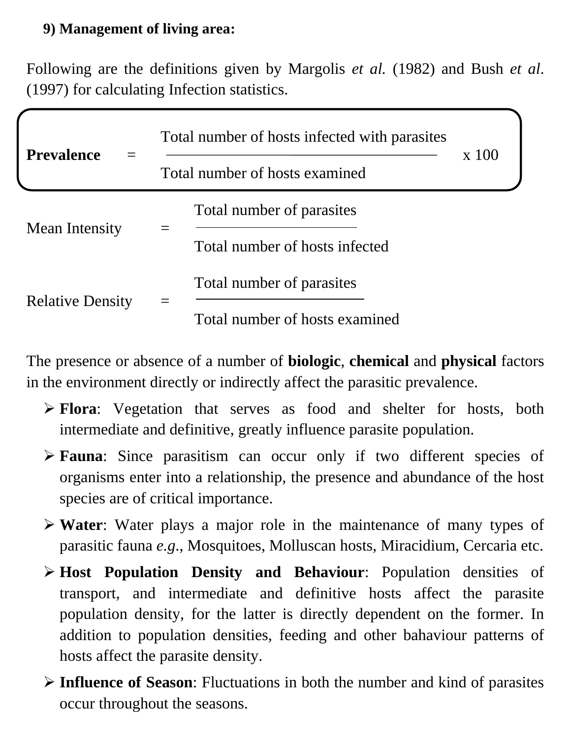## **9) Management of living area:**

Following are the definitions given by Margolis *et al.* (1982) and Bush *et al*. (1997) for calculating Infection statistics.

| <b>Prevalence</b>       | Total number of hosts infected with parasites |                                                             |       |
|-------------------------|-----------------------------------------------|-------------------------------------------------------------|-------|
|                         | Total number of hosts examined                |                                                             | x 100 |
| Mean Intensity          |                                               | Total number of parasites<br>Total number of hosts infected |       |
| <b>Relative Density</b> |                                               | Total number of parasites<br>Total number of hosts examined |       |

The presence or absence of a number of **biologic**, **chemical** and **physical** factors in the environment directly or indirectly affect the parasitic prevalence.

- **Flora**: Vegetation that serves as food and shelter for hosts, both intermediate and definitive, greatly influence parasite population.
- **Fauna**: Since parasitism can occur only if two different species of organisms enter into a relationship, the presence and abundance of the host species are of critical importance.
- **Water**: Water plays a major role in the maintenance of many types of parasitic fauna *e.g*., Mosquitoes, Molluscan hosts, Miracidium, Cercaria etc.
- **Host Population Density and Behaviour**: Population densities of transport, and intermediate and definitive hosts affect the parasite population density, for the latter is directly dependent on the former. In addition to population densities, feeding and other bahaviour patterns of hosts affect the parasite density.
- **Influence of Season**: Fluctuations in both the number and kind of parasites occur throughout the seasons.